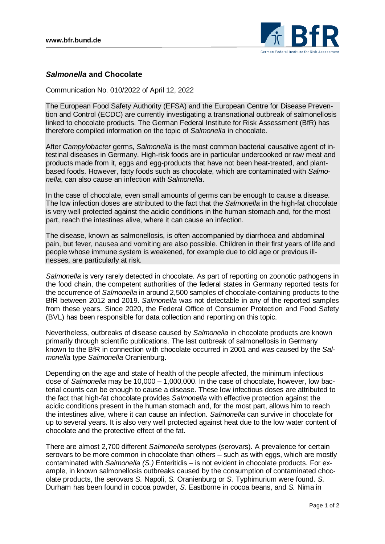

## *Salmonella* **and Chocolate**

Communication No. 010/2022 of April 12, 2022

The European Food Safety Authority (EFSA) and the European Centre for Disease Prevention and Control (ECDC) are currently investigating a transnational outbreak of salmonellosis linked to chocolate products. The German Federal Institute for Risk Assessment (BfR) has therefore compiled information on the topic of *Salmonella* in chocolate.

After *Campylobacter* germs, *Salmonella* is the most common bacterial causative agent of intestinal diseases in Germany. High-risk foods are in particular undercooked or raw meat and products made from it, eggs and egg-products that have not been heat-treated, and plantbased foods. However, fatty foods such as chocolate, which are contaminated with *Salmonella*, can also cause an infection with *Salmonella*.

In the case of chocolate, even small amounts of germs can be enough to cause a disease. The low infection doses are attributed to the fact that the *Salmonella* in the high-fat chocolate is very well protected against the acidic conditions in the human stomach and, for the most part, reach the intestines alive, where it can cause an infection.

The disease, known as salmonellosis, is often accompanied by diarrhoea and abdominal pain, but fever, nausea and vomiting are also possible. Children in their first years of life and people whose immune system is weakened, for example due to old age or previous illnesses, are particularly at risk.

*Salmonella* is very rarely detected in chocolate. As part of reporting on zoonotic pathogens in the food chain, the competent authorities of the federal states in Germany reported tests for the occurrence of *Salmonella* in around 2,500 samples of chocolate-containing products to the BfR between 2012 and 2019. *Salmonella* was not detectable in any of the reported samples from these years. Since 2020, the Federal Office of Consumer Protection and Food Safety (BVL) has been responsible for data collection and reporting on this topic.

Nevertheless, outbreaks of disease caused by *Salmonella* in chocolate products are known primarily through scientific publications. The last outbreak of salmonellosis in Germany known to the BfR in connection with chocolate occurred in 2001 and was caused by the *Salmonella* type *Salmonella* Oranienburg.

Depending on the age and state of health of the people affected, the minimum infectious dose of *Salmonella* may be 10,000 – 1,000,000. In the case of chocolate, however, low bacterial counts can be enough to cause a disease. These low infectious doses are attributed to the fact that high-fat chocolate provides *Salmonella* with effective protection against the acidic conditions present in the human stomach and, for the most part, allows him to reach the intestines alive, where it can cause an infection. *Salmonella* can survive in chocolate for up to several years. It is also very well protected against heat due to the low water content of chocolate and the protective effect of the fat.

There are almost 2,700 different *Salmonella* serotypes (serovars). A prevalence for certain serovars to be more common in chocolate than others – such as with eggs, which are mostly contaminated with *Salmonella (S.)* Enteritidis – is not evident in chocolate products. For example, in known salmonellosis outbreaks caused by the consumption of contaminated chocolate products, the serovars *S.* Napoli, *S.* Oranienburg or *S.* Typhimurium were found. *S.* Durham has been found in cocoa powder, *S.* Eastborne in cocoa beans, and *S.* Nima in